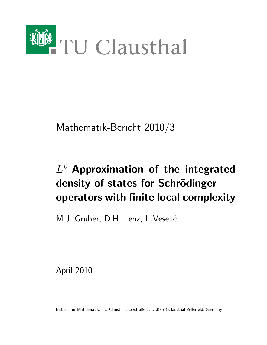

Mathematik-Bericht 2010/3

# $L^p$ -Approximation of the integrated density of states for Schrödinger operators with finite local complexity

M.J. Gruber, D.H. Lenz, I. Veselić

April 2010

Institut für Mathematik, TU Clausthal, Erzstraße 1, D-38678 Clausthal-Zellerfeld, Germany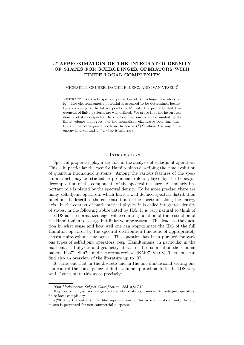# L<sup>p</sup>-APPROXIMATION OF THE INTEGRATED DENSITY OF STATES FOR SCHRÖDINGER OPERATORS WITH FINITE LOCAL COMPLEXITY

### MICHAEL J. GRUBER, DANIEL H. LENZ, AND IVAN VESELIC´

ABSTRACT. We study spectral properties of Schrödinger operators on  $\mathbb{R}^d$ . The electromagnetic potential is assumed to be determined locally by a colouring of the lattice points in  $\mathbb{Z}^d$ , with the property that frequencies of finite patterns are well defined. We prove that the integrated density of states (spectral distribution function) is approximated by its finite volume analogues, i.e. the normalised eigenvalue counting functions. The convergence holds in the space  $L^p(I)$  where I is any finite energy interval and  $1 \leq p < \infty$  is arbitrary.

# 1. Introduction

Spectral properties play a key role in the analysis of selfadjoint operators. This is in particular the case for Hamiltonians describing the time evolution of quantum mechanical systems. Among the various features of the spectrum which may be studied, a prominent role is played by the Lebesgue decomposition of the components of the spectral measure. A similarly important role is played by the spectral density. To be more precise: there are many selfadjoint operators which have a well defined spectral distribution function. It describes the concentration of the spectrum along the energy axis. In the context of mathematical physics it is called integrated density of states, in the following abbreviated by IDS. It is very natural to think of the IDS as the normalized eigenvalue counting function of the restriction of the Hamiltonian to a large but finite volume system. This leads to the question in what sense and how well one can approximate the IDS of the full Hamilton operator by the spectral distribution functions of appropriately chosen finite-volume analogues. This question has been pursued for various types of selfadjoint operators, resp. Hamiltonians, in particular in the mathematical physics and geometry literature. Let us mention the seminal papers [Pas71, Shu79] and the recent reviews [KM07, Ves08]. There one can find also an overview of the literature up to '07.

It turns out that in the discrete and in the one-dimensional setting one can control the convergence of finite volume approximants to the IDS very well. Let us state this more precisely:

<sup>2000</sup> Mathematics Subject Classification. 35J10,81Q10.

Key words and phrases. integrated density of states, random Schrödinger operators, finite local complexity.

c 2010 by the authors. Faithful reproduction of this article, in its entirety, by any means is permitted for non-commercial purposes.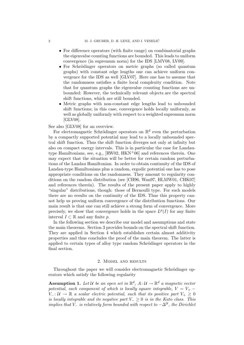- For difference operators (with finite range) on combinatorial graphs the eigenvalue counting functions are bounded. This leads to uniform convergence (in supremum norm) for the IDS [LMV08, LV09].
- For Schrödinger operators on metric graphs (so called quantum graphs) with constant edge lengths one can achieve uniform convergence for the IDS as well [GLV07]. Here one has to assume that the randomness satisfies a finite local complexity condition. Note that for quantum graphs the eigenvalue counting functions are unbounded: However, the technically relevant objects are the spectral shift functions, which are still bounded.
- Metric graphs with non-constant edge lengths lead to unbounded shift functions; in this case, convergence holds locally uniformly, as well as globally uniformly with respect to a weighted supremum norm [GLV08].

See also [GLV08] for an overview.

For electromagnetic Schrödinger operators on  $\mathbb{R}^d$  even the perturbation by a compactly supported potential may lead to a locally unbounded spectral shift function. Thus the shift function diverges not only at infinity but also on compact energy intervals. This is in particular the case for Landautype Hamiltonians, see, e.g.,  $[RW02, HKN<sup>+</sup>06]$  and references therein. One may expect that the situation will be better for certain random perturbations of the Landau Hamiltonian. In order to obtain continuity of the IDS of Landau-type Hamiltonians plus a random, ergodic potential one has to pose appropriate conditions on the randomness. They amount to regularity conditions on the random distribution (see [CH96, Wan97, HLMW01, CHK07] and references therein). The results of the present paper apply to highly "singular" distributions, though: those of Bernoulli type. For such models there are no results on the continuity of the IDS. Thus this property cannot help us proving uniform convergence of the distribution functions. Our main result is that one can still achieve a strong form of convergence. More precisely, we show that convergence holds in the space  $L^p(I)$  for any finite interval  $I \subset \mathbb{R}$  and any finite p.

In the following section we describe our model and assumptions and state the main theorems. Section 3 provides bounds on the spectral shift function. They are applied in Section 4 which establishes certain almost additivity properties and thus concludes the proof of the main theorem. The latter is applied to certain types of alloy type random Schrödinger operators in the final section.

#### 2. Model and results

Throughout the paper we will consider electromagnetic Schrödinger operators which satisfy the following regularity

**Assumption 1.** Let U be an open set in  $\mathbb{R}^d$ ,  $A: \mathcal{U} \to \mathbb{R}^d$  a magnetic vector potential, each component of which is locally square integrable,  $V = V_{+} V_-\colon \mathcal{U} \to \mathbb{R}$  a scalar electric potential, such that its positive part  $V_+\geq 0$ is locally integrable and its negative part  $V_-\geq 0$  is in the Kato class. This implies that  $V_-\,$  is relatively form bounded with respect to  $-\Delta^{\mathcal U}$ , the Dirichlet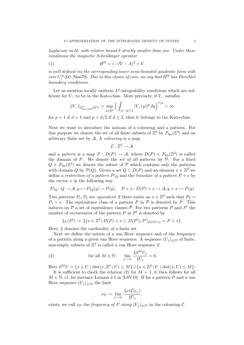Laplacian on  $\mathcal U$ , with relative bound  $\delta$  strictly smaller than one. Under these conditions the magnetic Schrödinger operator

$$
(1) \tH^{\mathcal{U}} = (-i\nabla - A)^2 + V
$$

is well defined via the corresponding lower semi-bounded quadratic form with core  $C_c^{\infty}(\mathcal{U})$  [Sim79]. Due to this choice of core, we say that  $H^{\mathcal{U}}$  has Dirichlet boundary conditions.

Let us mention locally uniform  $L^p$ -integrability conditions which are sufficient for  $V_-\$  to be in the Kato-class. More precisely, if  $V_-\$  satisfies

$$
||V_{-}||_{L^{p}_{\text{loc,unif}}(\mathbb{R}^{d})} = \sup_{x \in \mathbb{R}^{d}} \Big( \int_{|x-y| \leq 1} |V_{-}(y)|^{p} dy \Big)^{1/p} < \infty
$$

for  $p = 1$  if  $d = 1$  and  $p > d/2$  if  $d \geq 2$ , then it belongs to the Kato-class.

Next we want to introduce the notions of a colouring and a pattern. For this purpose we denote the set of all finite subsets of  $\mathbb{Z}^d$  by  $\mathcal{F}_{fin}(\mathbb{Z}^d)$  and an arbitrary finite set by  $A$ . A *colouring* is a map

 $\mathcal{C}:\mathbb{Z}^d\rightarrow \mathcal{A}$ 

and a pattern is a map  $P: D(P) \to \mathcal{A}$ , where  $D(P) \in \mathcal{F}_{fin}(\mathbb{Z}^d)$  is called the domain of  $P$ . We denote the set of all patterns by  $P$ . For a fixed  $Q \in \mathcal{F}_{fin}(\mathbb{Z}^d)$  we denote the subset of  $P$  which contains only the patterns with domain Q by  $\mathcal{P}(Q)$ . Given a set  $Q \subset D(P)$  and an element  $x \in \mathbb{Z}^d$  we define a restriction of a pattern  $P|_Q$  and the translate of a pattern  $P + x$  by the vector  $x$  in the following way

$$
P|_Q: Q \to A, g \mapsto P|_Q(g) = P(g), \quad P + x: D(P) + x \to A, y + x \mapsto P(y)
$$

Two patterns  $P_1, P_2$  are *equivalent* if there exists an  $x \in \mathbb{Z}^d$  such that  $P_2 =$  $P_1 + x$ . The equivalence class of a pattern P in P is denoted by  $\tilde{P}$ . This induces on  $P$  a set of equivalence classes  $\tilde{P}$ . For two patterns P and P' the number of occurrences of the pattern  $P$  in  $P'$  is denoted by

$$
\sharp_P(P') := \sharp \{ x \in \mathbb{Z}^d \, | \, D(P) + x \subset D(P'), P'|_{D(P)+x} = P + x \}.
$$

Here,  $\sharp$  denotes the cardinality of a finite set.

Next we define the notion of a van Hove sequence and of the frequency of a pattern along a given van Hove sequence. A sequence  $(U_i)_{i\in\mathbb{N}}$  of finite, non-empty subsets of  $\mathbb{Z}^d$  is called a van Hove sequence if

(2) for all 
$$
M \in \mathbb{N}
$$
:  $\lim_{j \to \infty} \frac{\sharp \partial^M U_j}{\sharp U_j} = 0.$ 

Here  $\partial^M U = \{x \in U \mid \text{dist}(x, \mathbb{Z}^d \setminus U) \leq M\} \cup \{x \in \mathbb{Z}^d \setminus U \mid \text{dist}(x, U) \leq M\}.$ It is sufficient to check the relation (2) for  $M = 1$ , it then follows for all

$$
M \in \mathbb{N}
$$
, cf. for instance Lemma 2.1 in [LSV10]. If for a pattern P and a van  
How sequence  $(U_j)_{j \in \mathbb{N}}$  the limit

$$
\nu_P := \lim_{j \to \infty} \frac{\sharp_P(\mathcal{C}|_{U_j})}{\sharp U_j}.
$$

exists, we call  $\nu_P$  the *frequency of* P along  $(U_i)_{i\in\mathbb{N}}$  in the colouring C.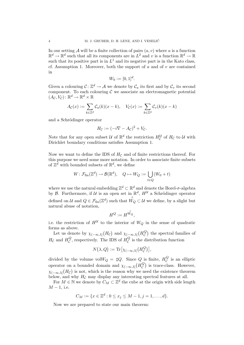In our setting A will be a finite collection of pairs  $(a, v)$  where a is a function  $\mathbb{R}^d \to \mathbb{R}^d$  such that all its components are in  $L^2$  and v is a function  $\mathbb{R}^d \to \mathbb{R}$ such that its positive part is in  $L^1$  and its negative part is in the Kato class, cf. Assumption 1. Moreover, both the support of a and of  $v$  are contained in

$$
W_0 := [0,1]^d.
$$

Given a colouring  $C: \mathbb{Z}^d \to \mathcal{A}$  we denote by  $\mathcal{C}_a$  its first and by  $\mathcal{C}_v$  its second component. To each colouring  $\mathcal C$  we associate an electromagnetic potential  $(A_{\mathcal{C}}, V_{\mathcal{C}}): \mathbb{R}^d \to \mathbb{R}^d \times \mathbb{R}$ 

$$
A_{\mathcal{C}}(x) := \sum_{k \in \mathbb{Z}^d} \mathcal{C}_a(k)(x - k), \quad V_{\mathcal{C}}(x) := \sum_{k \in \mathbb{Z}^d} \mathcal{C}_v(k)(x - k)
$$

and a Schrödinger operator

$$
H_{\mathcal{C}} := (-i\nabla - A_{\mathcal{C}})^2 + V_{\mathcal{C}}.
$$

Note that for any open subset  $\mathcal{U}$  of  $\mathbb{R}^d$  the restriction  $H_C^{\mathcal{U}}$  of  $H_C$  to  $\mathcal{U}$  with Dirichlet boundary conditions satisfies Assumption 1.

Now we want to define the IDS of  $H_{\mathcal{C}}$  and of finite restrictions thereof. For this purpose we need some more notation. In order to associate finite subsets of  $\mathbb{Z}^d$  with bounded subsets of  $\mathbb{R}^d$ , we define

$$
W \colon \mathcal{F}_{\text{fin}}(\mathbb{Z}^d) \to \mathcal{B}(\mathbb{R}^d), \quad Q \mapsto W_Q := \bigcup_{t \in Q} (W_0 + t)
$$

where we use the natural embedding  $\mathbb{Z}^d\subset\mathbb{R}^d$  and denote the Borel- $\sigma$ -algebra by  $\mathcal{B}$ . Furthermore, if  $\mathcal{U}$  is an open set in  $\mathbb{R}^d$ ,  $H^{\mathcal{U}}$  a Schrödinger operator defined on  $\mathcal U$  and  $Q \in \mathcal F_{\text{fin}}(\mathbb Z^d)$  such that  $\overset{\circ}{W_Q} \subset \mathcal U$  we define, by a slight but natural abuse of notation,

$$
H^Q := H^{\overset{\circ}{W_Q}},
$$

i.e. the restriction of  $H^{\mathcal{U}}$  to the interior of  $W_Q$  in the sense of quadratic forms as above.

Let us denote by  $\chi_{(-\infty,\lambda]}(H_c)$  and  $\chi_{(-\infty,\lambda]}(H_c^Q)$  $\begin{bmatrix} Q \\ C \end{bmatrix}$  the spectral families of  $H_{\mathcal{C}}$  and  $H_{\mathcal{C}}^{Q}$  $^Q_{\mathcal{C}}$ , respectively. The IDS of  $H^Q_{\mathcal{C}}$  $\mathcal{C}$  is the distribution function

$$
N(\lambda, Q) := \text{Tr} \big[ \chi_{(-\infty,\lambda]} \big( H_C^Q \big) \big],
$$

divided by the volume vol $W_Q = \sharp Q$ . Since Q is finite,  $H_C^Q$  $\mathcal{C}$  is an elliptic operator on a bounded domain and  $\chi_{(-\infty,\lambda]}(H_C^Q)$  $\begin{bmatrix} Q \\ C \end{bmatrix}$  is trace-class. However,  $\chi_{(-\infty,\lambda]}(H_{\mathcal{C}})$  is not, which is the reason why we need the existence theorem below, and why  $H_{\mathcal{C}}$  may display any interesting spectral features at all.

For  $M \in \mathbb{N}$  we denote by  $C_M \subset \mathbb{Z}^d$  the cube at the origin with side length  $M-1$ , i.e.

$$
C_M := \{ x \in \mathbb{Z}^d : 0 \le x_j \le M - 1, j = 1, \dots, d \}.
$$

Now we are prepared to state our main theorem: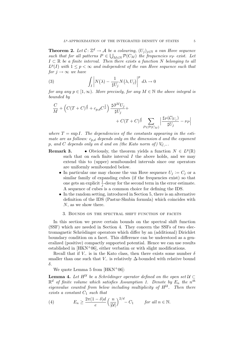**Theorem 2.** Let  $\mathcal{C}: \mathbb{Z}^d \to \mathcal{A}$  be a colouring,  $(U_j)_{j \in \mathbb{N}}$  a van Hove sequence such that for all patterns  $P \in \bigcup_{M \in \mathbb{N}} \mathcal{P}(C_M)$  the frequencies  $\nu_P$  exist. Let  $I \subset \mathbb{R}$  be a finite interval. Then there exists a function N belonging to all  $L^p(I)$  with  $1 \leq p < \infty$  and independent of the van Hove sequence such that for  $j \to \infty$  we have

(3) 
$$
\int_{I} \left| N(\lambda) - \frac{1}{\sharp U_{j}} N(\lambda, U_{j}) \right|^{p} d\lambda \to 0
$$

for any any  $p \in [1,\infty)$ . More precisely, for any  $M \in \mathbb{N}$  the above integral is bounded by

$$
\frac{C}{M} + \left(C(T+C)^{\frac{d}{2}} + c_{p,d}C^{\frac{1}{p}}\right) \frac{\sharp \partial^M U_j}{\sharp U_j} + \frac{C(T+C)^{\frac{d}{2}}}{C(T+C)^{\frac{d}{2}}}\sum_{P \in \mathcal{P}(C_M)} \left|\frac{\sharp P(C|_{U_j})}{\sharp U_j} - \nu_P\right|
$$

where  $T = \sup I$ . The dependencies of the constants appearing in the estimate are as follows:  $c_{p,d}$  depends only on the dimension d and the exponent p, and C depends only on d and on (the Kato norm of)  $V_{\mathcal{C},-}$ .

- **Remark 3.** Obviously, the theorem yields a function  $N \in L^p(\mathbb{R})$ such that on each finite interval  $I$  the above holds, and we may extend this to (upper) semibounded intervals since our operators are uniformly semibounded below.
	- In particular one may choose the van Hove sequence  $U_j := C_j$  or a similar family of expanding cubes (if the frequencies exist) so that one gets an explicit  $\frac{1}{j}$ -decay for the second term in the error estimate. A sequence of cubes is a common choice for defining the IDS.
	- In the random setting, introduced in Section 5, there is an alternative definition of the IDS (Pastur-Shubin formula) which coincides with N, as we show there.

#### 3. Bounds on the spectral shift function of facets

In this section we prove certain bounds on the spectral shift function (SSF) which are needed in Section 4. They concern the SSFs of two electromagnetic Schrödinger operators which differ by an (additional) Dirichlet boundary condition on a facet. This difference can be understood as a generalized (positive) compactly supported potential. Hence we can use results established in  $[HKN<sup>+</sup>06]$ , either verbatim or with slight modifications.

Recall that if  $V_-\$  is in the Kato class, then there exists some number  $\delta$ smaller than one such that  $V_-\$  is relatively  $\Delta$ -bounded with relative bound δ.

We quote Lemma 5 from  $[HKN^{+}06]$ :

**Lemma 4.** Let  $H^{\mathcal{U}}$  be a Schrödinger operator defined on the open set  $\mathcal{U} \subset$  $\mathbb{R}^d$  of finite volume which satisfies Assumption 1. Denote by  $E_n$  the  $n^{th}$ eigenvalue counted from below including multiplicity of  $H^{\mathcal{U}}$ . Then there exists a constant  $C_1$  such that

(4) 
$$
E_n \geq \frac{2\pi(1-\delta)d}{e} \left(\frac{n}{|\mathcal{U}|}\right)^{2/d} - C_1 \quad \text{for all } n \in \mathbb{N}.
$$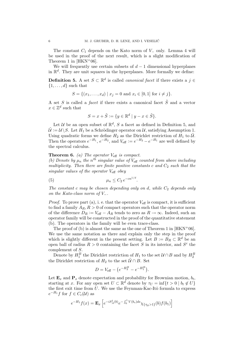The constant  $C_1$  depends on the Kato norm of  $V_-\$  only. Lemma 4 will be used in the proof of the next result, which is a slight modification of Theorem 1 in  $[HKN^{+}06]$ .

We will frequently use certain subsets of  $d-1$  dimensional hyperplanes in  $\mathbb{R}^d$ . They are unit squares in the hyperplanes. More formally we define:

**Definition 5.** A set  $S \subset \mathbb{R}^d$  is called *canonical facet* if there exists a  $j \in$  $\{1, \ldots, d\}$  such that

$$
S = \{(x_1, \ldots, x_d) \mid x_j = 0 \text{ and } x_i \in [0, 1] \text{ for } i \neq j\}.
$$

A set S is called a *facet* if there exists a canonical facet  $\tilde{S}$  and a vector  $x \in \mathbb{Z}^d$  such that

$$
S = x + \tilde{S} := \{ y \in \mathbb{R}^d \mid y - x \in \tilde{S} \}.
$$

Let U be an open subset of  $\mathbb{R}^d$ , S a facet as defined in Definition 5, and  $\mathcal{U} := \mathcal{U} \backslash S$ . Let  $H_1$  be a Schrödinger operator on  $\mathcal{U}$ , satisfying Assumption 1. Using quadratic forms we define  $H_2$  as the Dirichlet restriction of  $H_1$  to  $\mathcal{U}$ . Then the operators  $e^{-H_1}$ ,  $e^{-H_2}$ , and  $V_{\text{eff}} := e^{-H_2} - e^{-H_1}$  are well defined by the spectral calculus.

# **Theorem 6.** (a) The operator  $V_{\text{eff}}$  is compact.

(b) Denote by  $\mu_n$  the n<sup>th</sup> singular value of  $V_{\text{eff}}$  counted from above including multiplicity. Then there are finite positive constants c and  $C_2$  such that the singular values of the operator  $V_{\text{eff}}$  obey

(5) 
$$
\mu_n \leq C_2 e^{-cn^{1/d}}.
$$

The constant c may be chosen depending only on d, while  $C_2$  depends only on the Kato-class norm of  $V_-\$ .

*Proof.* To prove part (a), i. e. that the operator  $V_{\text{eff}}$  is compact, it is sufficient to find a family  $A_R$ ,  $R > 0$  of compact operators such that the operator norm of the difference  $D_R := V_{\text{eff}} - A_R$  tends to zero as  $R \to \infty$ . Indeed, such an operator family will be constructed in the proof of the quantitative statement (b). The operators in the family will be even trace-class.

The proof of (b) is almost the same as the one of Theorem 1 in  $[HKN+06]$ . We use the same notation as there and explain only the step in the proof which is slightly different in the present setting. Let  $B := B_R \subset \mathbb{R}^d$  be an open ball of radius  $R > 0$  containing the facet S in its interior, and  $S<sup>c</sup>$  the complement of S.

Denote by  $H_1^B$  the Dirichlet restriction of  $H_1$  to the set  $\mathcal{U} \cap B$  and by  $H_2^B$ the Dirichlet restriction of  $H_2$  to the set  $\tilde{\mathcal{U}} \cap B$ . Set

$$
D = V_{\text{eff}} - (e^{-H_2^B} - e^{-H_1^B}).
$$

Let  $\mathbf{E}_x$  and  $\mathbf{P}_x$  denote expectation and probability for Brownian motion,  $b_t$ , starting at x. For any open set  $U \subset \mathbb{R}^d$  denote by  $\tau_U = \inf\{t > 0 \mid b_t \notin U\}$ the first exit time from  $U$ . We use the Feynman-Kac-Itô formula to express  $e^{-H_1}f$  for  $f \in C_c(\mathcal{U})$  as

$$
e^{-H_1}f(x) = \mathbf{E}_x \left[ e^{-iS_A^1(b)} e^{-\int_0^1 V(b_s)ds} \chi_{\{\tau_{\mathcal{U}}>1\}}(b) f(b_1) \right]
$$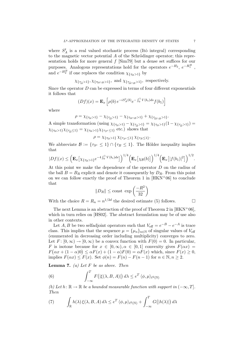where  $S_A^t$  is a real valued stochastic process (Itô integral) corresponding to the magnetic vector potential  $A$  of the Schrödinger operator; this representation holds for more general  $f$  [Sim79] but a dense set suffices for our purposes. Analogous representations hold for the operators  $e^{-H_2}$ ,  $e^{-H_1^B}$ , and  $e^{-H_2^B}$  if one replaces the condition  $\chi_{\{\tau_{\mathcal{U}}>1\}}$  by

$$
\chi_{\{\tau_{\tilde{U}}>1\}}, \chi_{\{\tau_{\mathcal{U}\cap B}>1\}}, \text{ and } \chi_{\{\tau_{\tilde{U}\cap B}>1\}}, \text{ respectively.}
$$

Since the operator  $D$  can be expressed in terms of four different exponentials it follows that

$$
(Df)(x) = \mathbf{E}_x \left[ \rho(b) \, e^{-iS_A^1(b)} e^{-\int_0^1 V(b_s) ds} f(b_1) \right]
$$

where

$$
\rho = \chi_{\{\tau_{\mathcal{U}}>1\}} - \chi_{\{\tau_{\mathcal{U}}>1\}} - \chi_{\{\tau_{\mathcal{U}\cap B}>1\}} + \chi_{\{\tau_{\mathcal{U}\cap B}>1\}}.
$$

A simple transformation (using  $\chi_{\{\tau_{\mathcal{U}}>1\}} - \chi_{\{\tau_{\mathcal{U}}>1\}} = \chi_{\{\tau_{\mathcal{U}}>1\}}(1 - \chi_{\{\tau_{\mathcal{U}}>1\}})$  $\chi_{\{\tau_{12} > 1\}} \chi_{\{\tau_{25} < 1\}} = \chi_{\{\tau_{14} > 1\}} \chi_{\{\tau_{5c} < 1\}}$  etc.) shows that

$$
\rho=\chi_{\{\tau_{\mathcal U}>1\}}\,\chi_{\{\tau_{S^c}\leq 1\}}\,\chi_{\{\tau_B\leq 1\}}.
$$

We abbreviate  $\mathcal{B} := \{ \tau_{S^c} \leq 1 \} \cap \{ \tau_B \leq 1 \}.$  The Hölder inequality implies that

$$
|Df|(x) \leq \left(\mathbf{E}_x\big[\chi_{\{\tau_{\mathcal{U}}>1\}}e^{-4\int_0^1 V(b_s)ds}\big]\right)^{1/4}\left(\mathbf{E}_x\big[\chi_{\mathcal{B}}(b)\big]\right)^{1/4}\left(\mathbf{E}_x\big[|f(b_1)|^2\big]\right)^{1/2}.
$$

At this point we make the dependence of the operator D on the radius of the ball  $B = B_R$  explicit and denote it consequently by  $D_R$ . From this point on we can follow exactly the proof of Theorem 1 in  $[HKN<sup>+</sup>06]$  to conclude that

$$
||D_R|| \le \text{const } \exp\left(\frac{-R^2}{32}\right)
$$

With the choice  $R = R_n = n^{1/2d}$  the desired estimate (5) follows.

The next Lemma is an abstraction of the proof of Theorem 2 in  $[HKN^+06]$ . which in turn relies on [HS02]. The abstract formulation may be of use also in other contexts.

Let  $A, B$  be two selfadjoint operators such that  $V_{\text{eff}} = e^{-B} - e^{-A}$  is trace class. This implies that the sequence  $\mu = {\mu_n}_{n \in \mathbb{N}}$  of singular values of  $V_{\text{eff}}$ (enumerated in decreasing order including multiplicity) converges to zero. Let  $F: [0, \infty) \to [0, \infty)$  be a convex function with  $F(0) = 0$ . In particular, F is isotone because for  $x \in [0, \infty), \alpha \in [0, 1]$  convexity gives  $F(\alpha x) =$  $F(\alpha x + (1 - \alpha)0) \leq \alpha F(x) + (1 - \alpha)F(0) = \alpha F(x)$  which, since  $F(x) \geq 0$ , implies  $F(\alpha x) \leq F(x)$ . Set  $\phi(n) = F(n) - F(n-1)$  for  $n \in \mathbb{N}, n \geq 2$ .

**Lemma 7.** (a) Let  $F$  be as above. Then

(6) 
$$
\int_{-\infty}^{T} F(|\xi(\lambda, B, A)|) d\lambda \leq e^{T} \langle \phi, \mu \rangle_{\ell^{2}(\mathbb{N})}
$$

(b) Let  $h: \mathbb{R} \to \mathbb{R}$  be a bounded measurable function with support in  $(-\infty, T]$ . Then

(7) 
$$
\int_{\mathbb{R}} h(\lambda) \xi(\lambda, B, A) d\lambda \leq e^T \langle \phi, \mu \rangle_{\ell^2(\mathbb{N})} + \int_{-\infty}^T G(|h(\lambda)|) d\lambda
$$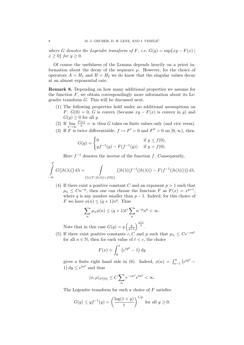where G denotes the Legendre transform of F, i.e.  $G(y) = \sup\{xy - F(x) \mid$  $x \geq 0$  for  $y \geq 0$ .

Of course the usefulness of the Lemma depends heavily on a priori information about the decay of the sequence  $\mu$ . However, for the choice of operators  $A = H_1$  and  $B = H_2$  we do know that the singular values decay at an almost exponential rate.

Remark 8. Depending on how many additional properties we assume for the function  $F$ , we obtain correspondingly more information about its Legendre transform G. This will be discussed next.

- (1) The following properties hold under no additional assumptions on F:  $G(0) = 0$ , G is convex (because  $xy - F(x)$  is convex in y) and  $G(y) \geq 0$  for all y.
- (2) If  $\lim_{x \to \infty} \frac{F(x)}{x} = \infty$  then G takes on finite values only (and vice versa).
- (3) If F is twice differentiable,  $f := F' > 0$  and  $F'' > 0$  on  $[0, \infty)$ , then

$$
G(y) = \begin{cases} 0 & \text{if } y \le f(0), \\ yf^{-1}(y) - F(f^{-1}(y)) & \text{if } y > f(0). \end{cases}
$$

Here  $f^{-1}$  denotes the inverse of the function f. Consequently,

$$
\int_{-\infty}^{T} G\big(|h(\lambda)|\big) d\lambda = \int_{\{\lambda \leq T : |h(\lambda)| > f(0)\}} \big(|h(\lambda)|f^{-1}(|h(\lambda)|) - F(f^{-1}(|h(\lambda)|))\big) d\lambda.
$$

(4) If there exist a positive constant C and an exponent  $p > 1$  such that  $\mu_n \leq Cn^{-p}$ , then one can choose the function F as  $F(x) = x^{q+1}$ , where q is any number smaller than  $p-1$ . Indeed, for this choice of F we have  $\phi(n) \leq (q+1)n^q$ . Thus

$$
\sum_{n} \mu_n \phi(n) \le (q+1)C \sum_{n} n^{-p} n^q < \infty.
$$

Note that in this case  $G(y) = q \left(\frac{y}{q+1}\right)^{\frac{q+1}{q}}$ .

(5) If there exist positive constants c, C and p such that  $\mu_n \leq Ce^{-cn^p}$ for all  $n \in \mathbb{N}$ , then for each value of  $t < c$ , the choice

$$
F(x) = \int_0^x \left( e^{ty^p} - 1 \right) dy
$$

gives a finite right hand side in (6). Indeed,  $\phi(n) = \int_{n-1}^{n} (e^{ty^p} -$ 1)  $dy \leq e^{tn^p}$  and thus

$$
\langle \phi, \mu \rangle_{\ell^2(\mathbb{N})} \leq C \sum_n e^{-cn^p} e^{tn^p} < \infty.
$$

The Legendre transform for such a choice of  $F$  satisfies

$$
G(y) \le y f^{-1}(y) = \left(\frac{\log(1+y)}{t}\right)^{1/p} \text{ for all } y \ge 0.
$$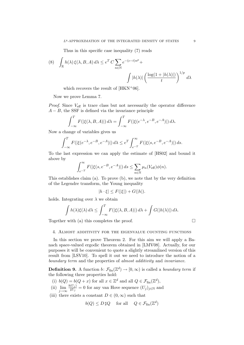Thus in this specific case inequality (7) reads

(8) 
$$
\int_{\mathbb{R}} h(\lambda) \xi(\lambda, B, A) d\lambda \le e^T C \sum_{n \in \mathbb{N}} e^{-(c-t)n^p} + \int |h(\lambda)| \left(\frac{\log(1+|h(\lambda)|)}{t}\right)^{1/p} d\lambda
$$

which recovers the result of  $[HKN<sup>+</sup>06]$ .

Now we prove Lemma 7.

*Proof.* Since  $V_{\text{eff}}$  is trace class but not necessarily the operator difference  $A - B$ , the SSF is defined via the invariance principle

$$
\int_{-\infty}^{T} F(|\xi(\lambda, B, A)|) d\lambda = \int_{-\infty}^{T} F(|\xi(e^{-\lambda}, e^{-B}, e^{-A})|) d\lambda.
$$

Now a change of variables gives us

$$
\int_{-\infty}^{T} F(|\xi(e^{-\lambda}, e^{-B}, e^{-A})|) d\lambda \le e^{T} \int_{e^{-T}}^{\infty} F(|\xi(s, e^{-B}, e^{-A})|) ds.
$$

To the last expression we can apply the estimate of [HS02] and bound it above by

$$
\int_{e^{-T}}^{\infty} F(|\xi(s, e^{-B}, e^{-A})|) ds \leq \sum_{n \in \mathbb{N}} \mu_n(V_{\text{eff}}) \phi(n).
$$

This establishes claim (a). To prove (b), we note that by the very definition of the Legendre transform, the Young inequality

$$
|h \cdot \xi| \le F(|\xi|) + G(|h|).
$$

holds. Integrating over  $\lambda$  we obtain

$$
\int h(\lambda)\xi(\lambda) d\lambda \le \int_{-\infty}^T F(|\xi(\lambda, B, A)|) d\lambda + \int G(|h(\lambda)|) d\lambda.
$$

Together with (a) this completes the proof.

$$
\Box
$$

#### 4. Almost additivity for the eigenvalue counting functions

In this section we prove Theorem 2. For this aim we will apply a Banach space-valued ergodic theorem obtained in [LMV08]. Actually, for our purposes it will be convenient to quote a slightly streamlined version of this result from [LSV10]. To spell it out we need to introduce the notion of a boundary term and the properties of almost additivity and invariance.

**Definition 9.** A function  $b: \mathcal{F}_{fin}(\mathbb{Z}^d) \to [0, \infty)$  is called a *boundary term* if the following three properties hold:

- (i)  $b(Q) = b(Q + x)$  for all  $x \in \mathbb{Z}^d$  and all  $Q \in \mathcal{F}_{fin}(\mathbb{Z}^d)$ ,
- (ii)  $\lim_{j\to\infty}$  $b(U_j)$  $\frac{(U_j)}{\sharp U_j} = 0$  for any van Hove sequence  $(U_j)_{j \in \mathbb{N}}$  and
- (iii) there exists a constant  $D \in (0, \infty)$  such that

$$
b(Q) \le D \sharp Q
$$
 for all  $Q \in \mathcal{F}_{fin}(\mathbb{Z}^d)$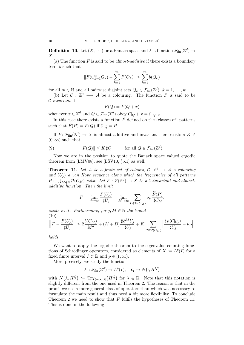**Definition 10.** Let  $(X, \| \cdot \|)$  be a Banach space and  $F$  a function  $\mathcal{F}_\textrm{fin}(\mathbb{Z}^d) \to$  $X$ .

(a) The function  $F$  is said to be *almost-additive* if there exists a boundary term b such that

$$
||F(\cup_{k=1}^{m} Q_k) - \sum_{k=1}^{m} F(Q_k)|| \leq \sum_{k=1}^{m} b(Q_k)
$$

for all  $m \in \mathbb{N}$  and all pairwise disjoint sets  $Q_k \in \mathcal{F}_{fin}(\mathbb{Z}^d)$ ,  $k = 1, \ldots, m$ .

(b) Let  $\mathcal{C}: \mathbb{Z}^d \longrightarrow \mathcal{A}$  be a colouring. The function F is said to be C-invariant if

$$
F(Q) = F(Q + x)
$$

whenever  $x \in \mathbb{Z}^d$  and  $Q \in \mathcal{F}_{fin}(\mathbb{Z}^d)$  obey  $\mathcal{C}|_Q + x = \mathcal{C}|_{Q+x}$ .

In this case there exists a function  $\tilde{F}$  defined on the (classes of) patterns such that  $\widetilde{F}(P) = F(Q)$  if  $\mathcal{C}|_Q = P$ .

If  $F: \mathcal{F}_{fin}(\mathbb{Z}^d) \to X$  is almost additive and invariant there exists a  $K \in$  $(0, \infty)$  such that

(9) 
$$
||F(Q)|| \leq K \, \sharp Q \qquad \text{for all } Q \in \mathcal{F}_{\text{fin}}(\mathbb{Z}^d).
$$

Now we are in the position to quote the Banach space valued ergodic theorem from [LMV08], see [LSV10, §5.1] as well.

**Theorem 11.** Let A be a finite set of colours,  $C: \mathbb{Z}^d \to \mathcal{A}$  a colouring and  $(U_i)$  a van Hove sequence along which the frequencies of all patterns  $P \in \bigcup_{M \in \mathbb{N}} \mathcal{P}(C_M)$  exist. Let  $F : \mathcal{F}(\mathbb{Z}^d) \to X$  be a C-invariant and almostadditive function. Then the limit

$$
\overline{F} := \lim_{j \to \infty} \frac{F(U_j)}{\sharp U_j} = \lim_{M \to \infty} \sum_{P \in \mathcal{P}(C_M)} \nu_P \frac{F(P)}{\sharp C_M}.
$$

exists in X. Furthermore, for  $j, M \in \mathbb{N}$  the bound (10)

$$
\left\|\overline{F} - \frac{F(U_j)}{\sharp U_j}\right\| \le 2\frac{b(C_M)}{M^d} + (K+D)\frac{\sharp \partial^M U_j}{\sharp U_j} + K \sum_{P \in \mathcal{P}(C_M)} \left|\frac{\sharp_P(\mathcal{C}|_{U_j})}{\sharp U_j} - \nu_P\right|.
$$

holds.

We want to apply the ergodic theorem to the eigenvalue counting functions of Schrödinger operators, considered as elements of  $X := L^p(I)$  for a fixed finite interval  $I \subset \mathbb{R}$  and  $p \in [1, \infty)$ .

More precisely, we study the function

$$
F: \mathcal{F}_{\text{fin}}(\mathbb{Z}^d) \to L^p(I), \quad Q \mapsto N(\cdot, H^Q)
$$

with  $N(\lambda, H^Q) := \text{Tr}\chi_{(-\infty,\lambda]}(H^Q)$  for  $\lambda \in \mathbb{R}$ . Note that this notation is slightly different from the one used in Theorem 2. The reason is that in the proofs we use a more general class of operators than which was necessary to formulate the main result and thus need a bit more flexibility. To conclude Theorem 2 we need to show that  $F$  fulfils the hypotheses of Theorem 11. This is done in the following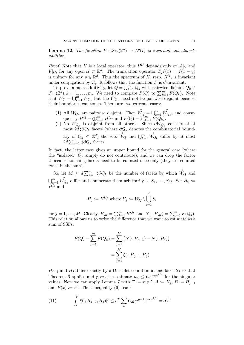**Lemma 12.** The function  $F : \mathcal{F}_{fin}(\mathbb{Z}^d) \to L^p(I)$  is invariant and almostadditive.

*Proof.* Note that H is a local operator, thus  $H^{\mathcal{U}}$  depends only on  $A|_{\mathcal{U}}$  and  $V|_{\mathcal{U}}$ , for any open  $\mathcal{U} \subset \mathbb{R}^d$ . The translation operator  $T_y f(x) = f(x - y)$ is unitary for any  $y \in \mathbb{R}^d$ . Thus the spectrum of H, resp.  $H^{\mathcal{U}}$ , is invariant under conjugation by  $T_y$ . It follows that the function F is C-invariant.

To prove almost-additivity, let  $Q = \bigcup_{k=1}^{m} Q_k$  with pairwise disjoint  $Q_k \in$  $\mathcal{F}_{\text{fin}}(\mathbb{Z}^d), k = 1, \ldots, m$ . We need to compare  $F(Q)$  to  $\sum_{k=1}^m F(Q_k)$ . Note that  $W_Q = \bigcup_{k=1}^m W_{Q_k}$  but the  $W_{Q_k}$  need not be pairwise disjoint because their boundaries can touch. There are two extreme cases:

- (1) All  $W_{Q_k}$  are pairwise disjoint. Then  $\mathring{W}_Q = \bigcup_{k=1}^m$  $\overset{\circ}{W_{Q_k}}$ , and consequently  $H^Q = \bigoplus_{k=1}^m H^{Q_k}$  and  $F(Q) = \sum_{k=1}^m F(Q_k)$ .
- (2) No  $W_{Q_k}$  is disjoint from all others. Since  $\partial W_{Q_k}$  consists of at most  $2d \sharp \partial Q_k$  facets (where  $\partial Q_k$  denotes the combinatorial boundary of  $Q_k \subset \mathbb{Z}^d$ ) the sets  $\overset{\circ}{W_Q}$  and  $\bigcup_{k=1}^m$  $\stackrel{\circ}{W_{Q_k}}$  differ by at most  $2d \sum_{k=1}^{m} \sharp \partial Q_k$  facets.

In fact, the latter case gives an upper bound for the general case (where the "isolated"  $Q_k$  simply do not contribute), and we can drop the factor 2 because touching facets need to be counted once only (they are counted twice in the sum).

So, let  $M \leq d \sum_{k=1}^m \sharp \partial Q_k$  be the number of facets by which  $\overset{\circ}{W}_Q$  and  $\bigcup_{k=1}^m$  $\overrightarrow{W}_{Q_k}$  differ and enumerate them arbitrarily as  $S_1, \ldots, S_M$ . Set  $H_0 :=$  $H^Q$  and

$$
H_j := H^{U_j} \text{ where } U_j := W_Q \setminus \bigcup_{i=1}^j S_i
$$

for  $j = 1, ..., M$ . Clearly,  $H_M = \bigoplus_{k=1}^m H^{Q_k}$  and  $N(\cdot, H_M) = \sum_{k=1}^m F(Q_k)$ . This relation allows us to write the difference that we want to estimate as a sum of SSFs:

$$
F(Q) - \sum_{k=1}^{m} F(Q_k) = \sum_{j=1}^{M} (N(\cdot, H_{j-1}) - N(\cdot, H_j))
$$
  
= 
$$
\sum_{j=1}^{M} \xi(\cdot, H_{j-1}, H_j)
$$

 $H_{j-1}$  and  $H_j$  differ exactly by a Dirichlet condition at one facet  $S_j$  so that Theorem 6 applies and gives the estimate  $\mu_n \leq Ce^{-cn^{1/d}}$  for the singular values. Now we can apply Lemma 7 with  $T := \sup I$ ,  $A := H_j$ ,  $B := H_{j-1}$ and  $F(x) := x^p$ . Then inequality (6) reads

(11) 
$$
\int_{I} |\xi(\cdot, H_{j-1}, H_j)|^p \le e^T \sum_{n} C_2 p n^{p-1} e^{-cn^{1/d}} =: \tilde{C}^p
$$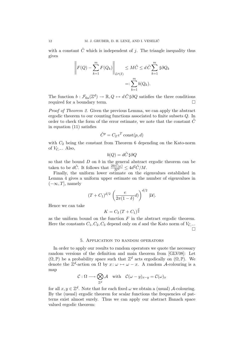with a constant  $\tilde{C}$  which is independent of j. The triangle inequality thus gives

$$
\left\| F(Q) - \sum_{k=1}^{m} F(Q_k) \right\|_{L^p(I)} \leq M\tilde{C} \leq d\tilde{C} \sum_{k=1}^{m} \sharp \partial Q_k
$$

$$
=:\sum_{k=1}^{m} b(Q_k).
$$

The function  $b: \mathcal{F}_{fin}(\mathbb{Z}^d) \to \mathbb{R}, Q \mapsto d\tilde{C} \sharp \partial Q$  satisfies the three conditions required for a boundary term.

Proof of Theorem 2. Given the previous Lemma, we can apply the abstract ergodic theorem to our counting functions associated to finite subsets Q. In order to check the form of the error estimate, we note that the constant  $C$ in equation (11) satisfies

$$
\tilde{C}^p = C_2 e^T \text{ const}(p, d)
$$

with  $C_2$  being the constant from Theorem 6 depending on the Kato-norm of  $V_{\mathcal{C}}$ <sub>−</sub>. Also,

$$
b(Q) = d\tilde{C} \,\sharp \partial Q
$$

so that the bound  $D$  on  $b$  in the general abstract ergodic theorem can be taken to be  $d\tilde{C}$ . It follows that  $\frac{2b(C_M)}{M^d} \leq 4d^2\tilde{C}/M$ .

Finally, the uniform lower estimate on the eigenvalues established in Lemma 4 gives a uniform upper estimate on the number of eigenvalues in  $(-\infty, T]$ , namely

$$
(T+C_1)^{d/2}\left(\frac{e}{2\pi(1-\delta)}d\right)^{d/2}|\mathcal{U}|.
$$

Hence we can take

$$
K = C_3 (T + C_1)^{\frac{d}{2}}
$$

as the uniform bound on the function  $F$  in the abstract ergodic theorem. Here the constants  $C_1, C_2, C_3$  depend only on d and the Kato norm of  $V_{\mathcal{C}, -}$ .  $\Box$ 

#### 5. Application to random operators

In order to apply our results to random operators we quote the necessary random versions of the definition and main theorem from [GLV08]: Let  $(\Omega, \mathbb{P})$  be a probability space such that  $\mathbb{Z}^d$  acts ergodically on  $(\Omega, \mathbb{P})$ . We denote the  $\mathbb{Z}^d$ -action on  $\Omega$  by  $x: \omega \mapsto \omega - x$ . A random A-colouring is a map

$$
\mathcal{C}: \Omega \longrightarrow \bigotimes_{\mathbb{Z}^d} \mathcal{A} \quad \text{with} \quad \mathcal{C}(\omega - y)_{x-y} = \mathcal{C}(\omega)_x
$$

for all  $x, y \in \mathbb{Z}^d$ . Note that for each fixed  $\omega$  we obtain a (usual) A-colouring. By the (usual) ergodic theorem for scalar functions the frequencies of patterns exist almost surely. Thus we can apply our abstract Banach space valued ergodic theorem: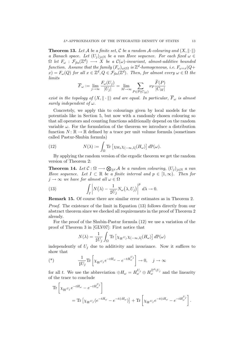**Theorem 13.** Let A be a finite set, C be a random A-colouring and  $(X, \|\cdot\|)$ a Banach space. Let  $(U_i)_{i\in\mathbb{N}}$  be a van Hove sequence. For each fixed  $\omega \in$  $\Omega$  let  $F_\omega$  :  $\mathcal{F}_{\mathit{fin}}(\mathbb{Z}^d) \,\longrightarrow\, X$  be a  $\mathcal{C}(\omega)$ -invariant, almost-additive bounded function. Assume that the family  $(F_\omega)_{\omega \in \Omega}$  is  $\mathbb{Z}^d$ -homogeneous, i.e.  $F_{\omega + x}(Q +$  $f(x) = F_{\omega}(Q)$  for all  $x \in \mathbb{Z}^d, Q \in \mathcal{F}_{\text{fin}}(\mathbb{Z}^d)$ . Then, for almost every  $\omega \in \Omega$  the limits

$$
\overline{F}_{\omega} := \lim_{j \to \infty} \frac{F_{\omega}(U_j)}{|U_j|} = \lim_{M \to \infty} \sum_{P \in \mathcal{P}(C_M)} \nu_P \frac{\overline{F}(P)}{|C_M|}
$$

exist in the topology of  $(X, \|\cdot\|)$  and are equal. In particular,  $\overline{F}_{\omega}$  is almost surely independent of  $\omega$ .

Concretely, we apply this to colourings given by local models for the potentials like in Section 5, but now with a randomly chosen colouring so that all operators and counting functions additionally depend on the random variable  $\omega$ . For the formulation of the theorem we introduce a distribution function  $N: \mathbb{R} \to \mathbb{R}$  defined by a trace per unit volume formula (sometimes called Pastur-Shubin formula)

(12) 
$$
N(\lambda) := \int_{\Omega} \text{Tr} \left[ \chi_{W_0} \chi_{(-\infty,\lambda]}(H_{\omega}) \right] d\mathbb{P}(\omega).
$$

By applying the random version of the ergodic theorem we get the random version of Theorem 2:

**Theorem 14.** Let  $C: \Omega \longrightarrow \bigotimes_{\mathbb{Z}^d} A$  be a random colouring,  $(U_j)_{j \in \mathbb{N}}$  a van Hove sequence. Let  $I \subset \mathbb{R}$  be a finite interval and  $p \in [1,\infty)$ . Then for  $j \to \infty$  we have for almost all  $\omega \in \Omega$ 

(13) 
$$
\int_{I} \left| N(\lambda) - \frac{1}{\sharp U_{j}} N_{\omega}(\lambda, U_{j}) \right|^{p} d\lambda \to 0.
$$

Remark 15. Of course there are similar error estimates as in Theorem 2.

Proof. The existence of the limit in Equation (13) follows directly from our abstract theorem since we checked all requirements in the proof of Theorem 2 already.

For the proof of the Shubin-Pastur formula (12) we use a variation of the proof of Theorem 3 in [GLV07]: First notice that

$$
N(\lambda) = \frac{1}{\sharp U_j} \int_{\Omega} \text{Tr} \left[ \chi_W v_j \chi_{(-\infty,\lambda]}(H_\omega) \right] d\mathbb{P}(\omega)
$$

independently of  $U_j$  due to additivity and invariance. Now it suffices to show that

(\*) 
$$
\frac{1}{\sharp U_j} \text{Tr} \left[ \chi_{W^{U_j}} e^{-tH_\omega} - e^{-tH_\omega^{U_j}} \right] \to 0, \quad j \to \infty
$$

for all t. We use the abbreviation  $\oplus H_{\omega} = H_{\omega}^{U_j} \oplus H_{\omega}^{\mathbb{Z}^d \setminus U_j}$  and the linearity of the trace to conclude

$$
\begin{split} \operatorname{Tr}\left[\chi_{W^{U_j}}e^{-tH_\omega}-e^{-tH_\omega^{U_j}}\right] \\ &=\operatorname{Tr}\left[\chi_{W^{U_j}}(e^{-tH_\omega}-e^{-t\oplus H_\omega})\right]+\operatorname{Tr}\left[\chi_{W^{U_j}}e^{-t\oplus H_\omega}-e^{-tH_\omega^{U_j}}\right]. \end{split}
$$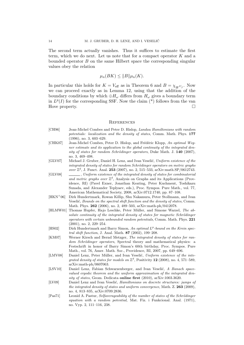The second term actually vanishes. Thus it suffices to estimate the first term, which we do next. Let us note that for a compact operator  $K$  and a bounded operator  $B$  on the same Hilbert space the corresponding singular values obey the relation

$$
\mu_n(BK) \leq ||B|| \mu_n(K).
$$

In particular this holds for  $K = V_{\text{eff}}$  as in Theorem 6 and  $B = \chi_{W}v_j$ . Now we can proceed exactly as in Lemma 12, using that the addition of the boundary conditions by which  $\oplus H_{\omega}$  differs from  $H_{\omega}$  gives a boundary term in  $L^p(I)$  for the corresponding SSF. Now the claim  $(*)$  follows from the van Hove property.

#### **REFERENCES**

- [CH96] Jean-Michel Combes and Peter D. Hislop, Landau Hamiltonians with random potentials: localization and the density of states, Comm. Math. Phys. 177 (1996), no. 3, 603–629.
- [CHK07] Jean-Michel Combes, Peter D. Hislop, and Frédéric Klopp, An optimal Wegner estimate and its application to the global continuity of the integrated density of states for random Schrödinger operators, Duke Math. J.  $140$  (2007), no. 3, 469–498.
- [GLV07] Michael J. Gruber, Daniel H. Lenz, and Ivan Veselić, Uniform existence of the integrated density of states for random Schrödinger operators on metric graphs over  $\mathbb{Z}^d$ , J. Funct. Anal. 253 (2007), no. 2, 515–533, arXiv:math.SP/0612743.
- [GLV08] , Uniform existence of the integrated density of states for combinatorial and metric graphs over  $\mathbb{Z}^d$ , Analysis on Graphs and its Applications (Providence, RI) (Pavel Exner, Jonathan Keating, Peter Kuchment, Toshikazu Sunada, and Alexander Teplyaev, eds.), Proc. Sympos. Pure Math., vol. 77, American Mathematical Society, 2008, arXiv:0712.1740, pp. 87–108.
- [HKN<sup>+</sup>06] Dirk Hundertmark, Rowan Killip, Shu Nakamura, Peter Stollmann, and Ivan Veselić, Bounds on the spectral shift function and the density of states, Comm. Math. Phys. 262 (2006), no. 2, 489–503, arXiv:math-ph/0412078.
- [HLMW01] Thomas Hupfer, Hajo Leschke, Peter Müller, and Simone Warzel, The ab $solute$  continuity of the integrated density of states for magnetic Schrödinger operators with certain unbounded random potentials, Comm. Math. Phys. 221 (2001), no. 2, 229–254.
- [HS02] Dirk Hundertmark and Barry Simon, An optimal  $L^p$ -bound on the Krein spectral shift function, J. Anal. Math. 87 (2002), 199–208.
- [KM07] Werner Kirsch and Bernd Metzger, The integrated density of states for random Schrödinger operators, Spectral theory and mathematical physics: a Festschrift in honor of Barry Simon's 60th birthday, Proc. Sympos. Pure Math., vol. 76, Amer. Math. Soc., Providence, RI, 2007, pp. 649–696.
- [LMV08] Daniel Lenz, Peter Müller, and Ivan Veselić, Uniform existence of the integrated density of states for models on  $\mathbb{Z}^d$ , Positivity 12 (2008), no. 4, 571–589, arXiv:math-ph/0607063.
- [LSV10] Daniel Lenz, Fabian Schwarzenberger, and Ivan Veselić, A Banach spacevalued ergodic theorem and the uniform approximation of the integrated density of states, Geom. Dedicata online first (2010), arXiv:1003.3620.
- [LV09] Daniel Lenz and Ivan Veselić, *Hamiltonians on discrete structures: jumps of* the integrated density of states and uniform convergence, Math. Z. 263 (2009), no. 4, 813–835, arXiv:0709.2836.
- [Pas71] Leonid A. Pastur, Selfaverageability of the number of states of the Schrödinger equation with a random potential, Mat. Fiz. i Funkcional. Anal. (1971), no. Vyp. 2, 111–116, 238.